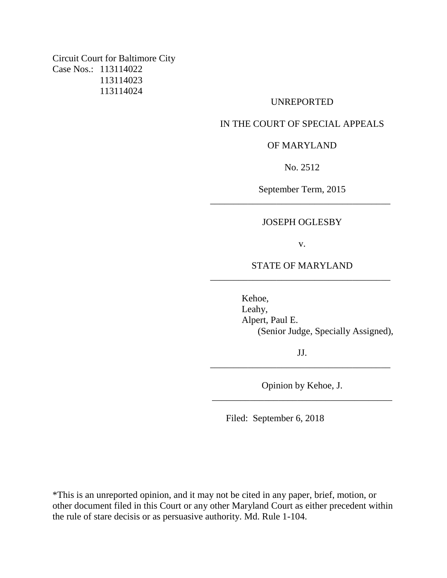Circuit Court for Baltimore City Case Nos.: 113114022 113114023 113114024

#### UNREPORTED

## IN THE COURT OF SPECIAL APPEALS

## OF MARYLAND

No. 2512

September Term, 2015 \_\_\_\_\_\_\_\_\_\_\_\_\_\_\_\_\_\_\_\_\_\_\_\_\_\_\_\_\_\_\_\_\_\_\_\_\_\_

## JOSEPH OGLESBY

v.

# STATE OF MARYLAND \_\_\_\_\_\_\_\_\_\_\_\_\_\_\_\_\_\_\_\_\_\_\_\_\_\_\_\_\_\_\_\_\_\_\_\_\_\_

Kehoe, Leahy, Alpert, Paul E. (Senior Judge, Specially Assigned),

JJ. \_\_\_\_\_\_\_\_\_\_\_\_\_\_\_\_\_\_\_\_\_\_\_\_\_\_\_\_\_\_\_\_\_\_\_\_\_\_

Opinion by Kehoe, J. \_\_\_\_\_\_\_\_\_\_\_\_\_\_\_\_\_\_\_\_\_\_\_\_\_\_\_\_\_\_\_\_\_\_\_\_\_\_

Filed: September 6, 2018

\*This is an unreported opinion, and it may not be cited in any paper, brief, motion, or other document filed in this Court or any other Maryland Court as either precedent within the rule of stare decisis or as persuasive authority. Md. Rule 1-104.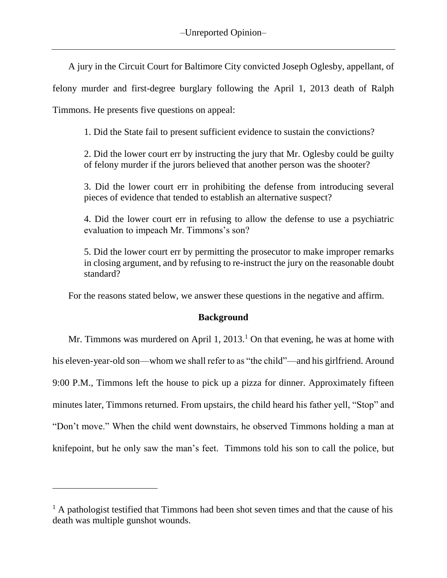A jury in the Circuit Court for Baltimore City convicted Joseph Oglesby, appellant, of

felony murder and first-degree burglary following the April 1, 2013 death of Ralph

Timmons. He presents five questions on appeal:

 $\overline{a}$ 

1. Did the State fail to present sufficient evidence to sustain the convictions?

2. Did the lower court err by instructing the jury that Mr. Oglesby could be guilty of felony murder if the jurors believed that another person was the shooter?

3. Did the lower court err in prohibiting the defense from introducing several pieces of evidence that tended to establish an alternative suspect?

4. Did the lower court err in refusing to allow the defense to use a psychiatric evaluation to impeach Mr. Timmons's son?

5. Did the lower court err by permitting the prosecutor to make improper remarks in closing argument, and by refusing to re-instruct the jury on the reasonable doubt standard?

For the reasons stated below, we answer these questions in the negative and affirm.

# **Background**

Mr. Timmons was murdered on April 1, 2013.<sup>1</sup> On that evening, he was at home with his eleven-year-old son—whom we shall refer to as "the child"—and his girlfriend. Around 9:00 P.M., Timmons left the house to pick up a pizza for dinner. Approximately fifteen minutes later, Timmons returned. From upstairs, the child heard his father yell, "Stop" and "Don't move." When the child went downstairs, he observed Timmons holding a man at knifepoint, but he only saw the man's feet. Timmons told his son to call the police, but

 $<sup>1</sup>$  A pathologist testified that Timmons had been shot seven times and that the cause of his</sup> death was multiple gunshot wounds.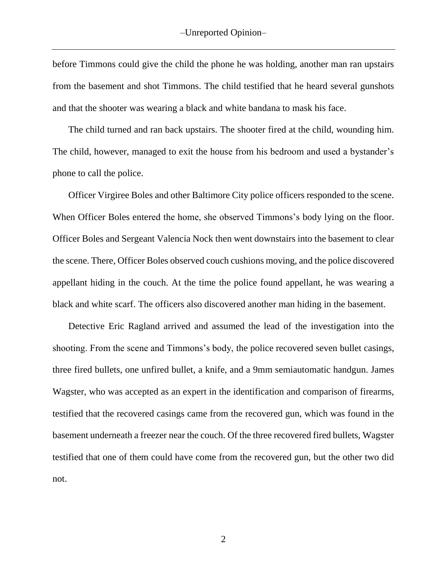before Timmons could give the child the phone he was holding, another man ran upstairs from the basement and shot Timmons. The child testified that he heard several gunshots and that the shooter was wearing a black and white bandana to mask his face.

The child turned and ran back upstairs. The shooter fired at the child, wounding him. The child, however, managed to exit the house from his bedroom and used a bystander's phone to call the police.

Officer Virgiree Boles and other Baltimore City police officers responded to the scene. When Officer Boles entered the home, she observed Timmons's body lying on the floor. Officer Boles and Sergeant Valencia Nock then went downstairs into the basement to clear the scene. There, Officer Boles observed couch cushions moving, and the police discovered appellant hiding in the couch. At the time the police found appellant, he was wearing a black and white scarf. The officers also discovered another man hiding in the basement.

Detective Eric Ragland arrived and assumed the lead of the investigation into the shooting. From the scene and Timmons's body, the police recovered seven bullet casings, three fired bullets, one unfired bullet, a knife, and a 9mm semiautomatic handgun. James Wagster, who was accepted as an expert in the identification and comparison of firearms, testified that the recovered casings came from the recovered gun, which was found in the basement underneath a freezer near the couch. Of the three recovered fired bullets, Wagster testified that one of them could have come from the recovered gun, but the other two did not.

2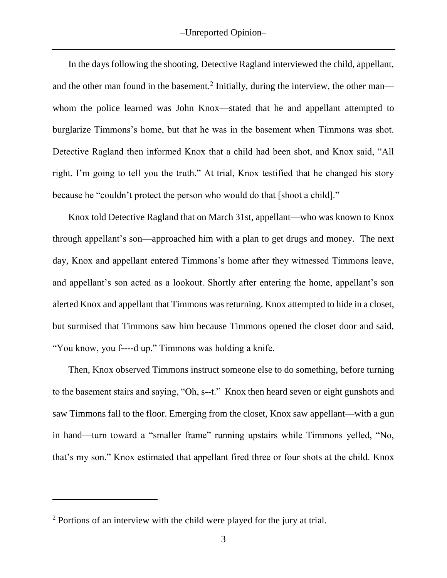In the days following the shooting, Detective Ragland interviewed the child, appellant, and the other man found in the basement.<sup>2</sup> Initially, during the interview, the other man whom the police learned was John Knox—stated that he and appellant attempted to burglarize Timmons's home, but that he was in the basement when Timmons was shot. Detective Ragland then informed Knox that a child had been shot, and Knox said, "All right. I'm going to tell you the truth." At trial, Knox testified that he changed his story because he "couldn't protect the person who would do that [shoot a child]."

Knox told Detective Ragland that on March 31st, appellant—who was known to Knox through appellant's son—approached him with a plan to get drugs and money. The next day, Knox and appellant entered Timmons's home after they witnessed Timmons leave, and appellant's son acted as a lookout. Shortly after entering the home, appellant's son alerted Knox and appellant that Timmons was returning. Knox attempted to hide in a closet, but surmised that Timmons saw him because Timmons opened the closet door and said, "You know, you f----d up." Timmons was holding a knife.

Then, Knox observed Timmons instruct someone else to do something, before turning to the basement stairs and saying, "Oh, s--t." Knox then heard seven or eight gunshots and saw Timmons fall to the floor. Emerging from the closet, Knox saw appellant—with a gun in hand—turn toward a "smaller frame" running upstairs while Timmons yelled, "No, that's my son." Knox estimated that appellant fired three or four shots at the child. Knox

 $\overline{a}$ 

<sup>&</sup>lt;sup>2</sup> Portions of an interview with the child were played for the jury at trial.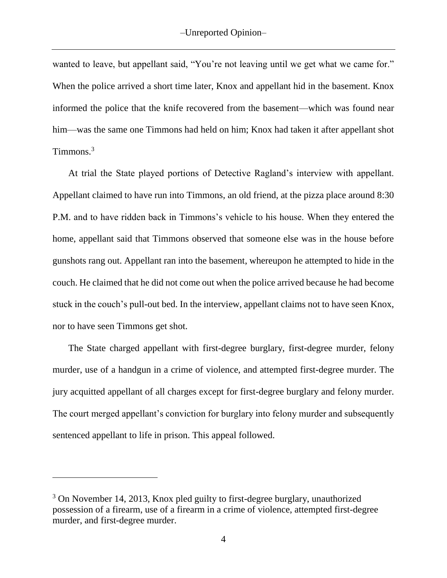wanted to leave, but appellant said, "You're not leaving until we get what we came for." When the police arrived a short time later, Knox and appellant hid in the basement. Knox informed the police that the knife recovered from the basement—which was found near him—was the same one Timmons had held on him; Knox had taken it after appellant shot Timmons.<sup>3</sup>

At trial the State played portions of Detective Ragland's interview with appellant. Appellant claimed to have run into Timmons, an old friend, at the pizza place around 8:30 P.M. and to have ridden back in Timmons's vehicle to his house. When they entered the home, appellant said that Timmons observed that someone else was in the house before gunshots rang out. Appellant ran into the basement, whereupon he attempted to hide in the couch. He claimed that he did not come out when the police arrived because he had become stuck in the couch's pull-out bed. In the interview, appellant claims not to have seen Knox, nor to have seen Timmons get shot.

The State charged appellant with first-degree burglary, first-degree murder, felony murder, use of a handgun in a crime of violence, and attempted first-degree murder. The jury acquitted appellant of all charges except for first-degree burglary and felony murder. The court merged appellant's conviction for burglary into felony murder and subsequently sentenced appellant to life in prison. This appeal followed.

 $\overline{a}$ 

<sup>3</sup> On November 14, 2013, Knox pled guilty to first-degree burglary, unauthorized possession of a firearm, use of a firearm in a crime of violence, attempted first-degree murder, and first-degree murder.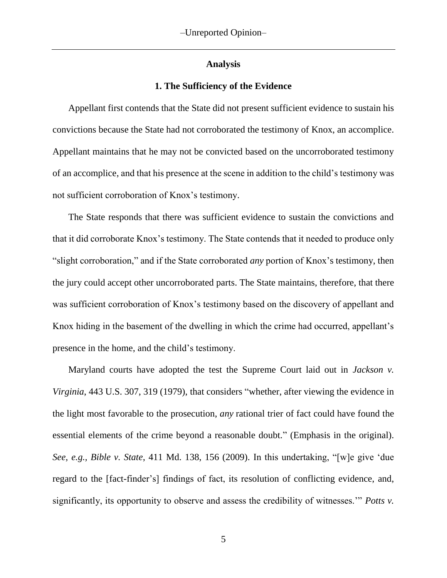## **Analysis**

#### **1. The Sufficiency of the Evidence**

Appellant first contends that the State did not present sufficient evidence to sustain his convictions because the State had not corroborated the testimony of Knox, an accomplice. Appellant maintains that he may not be convicted based on the uncorroborated testimony of an accomplice, and that his presence at the scene in addition to the child's testimony was not sufficient corroboration of Knox's testimony.

The State responds that there was sufficient evidence to sustain the convictions and that it did corroborate Knox's testimony. The State contends that it needed to produce only "slight corroboration," and if the State corroborated *any* portion of Knox's testimony, then the jury could accept other uncorroborated parts. The State maintains, therefore, that there was sufficient corroboration of Knox's testimony based on the discovery of appellant and Knox hiding in the basement of the dwelling in which the crime had occurred, appellant's presence in the home, and the child's testimony.

Maryland courts have adopted the test the Supreme Court laid out in *Jackson v. Virginia*, 443 U.S. 307, 319 (1979), that considers "whether, after viewing the evidence in the light most favorable to the prosecution, *any* rational trier of fact could have found the essential elements of the crime beyond a reasonable doubt." (Emphasis in the original). *See, e.g., Bible v. State*, 411 Md. 138, 156 (2009). In this undertaking, "[w]e give 'due regard to the [fact-finder's] findings of fact, its resolution of conflicting evidence, and, significantly, its opportunity to observe and assess the credibility of witnesses.'" *Potts v.*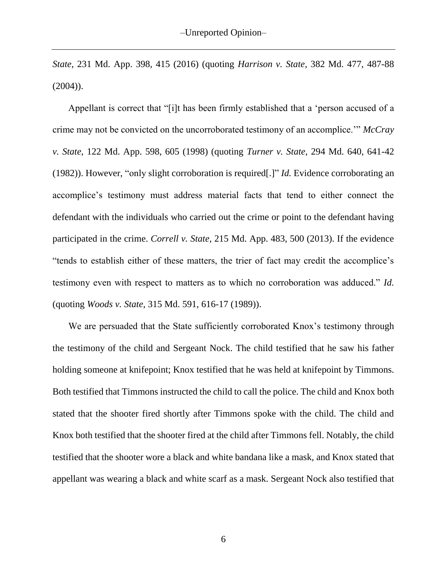*State*, 231 Md. App. 398, 415 (2016) (quoting *Harrison v. State*, 382 Md. 477, 487-88  $(2004)$ ).

Appellant is correct that "[i]t has been firmly established that a 'person accused of a crime may not be convicted on the uncorroborated testimony of an accomplice.'" *McCray v. State*, 122 Md. App. 598, 605 (1998) (quoting *Turner v. State*, 294 Md. 640, 641-42 (1982)). However, "only slight corroboration is required[.]" *Id.* Evidence corroborating an accomplice's testimony must address material facts that tend to either connect the defendant with the individuals who carried out the crime or point to the defendant having participated in the crime. *Correll v. State*, 215 Md. App. 483, 500 (2013). If the evidence "tends to establish either of these matters, the trier of fact may credit the accomplice's testimony even with respect to matters as to which no corroboration was adduced." *Id.*  (quoting *Woods v. State*, 315 Md. 591, 616-17 (1989)).

We are persuaded that the State sufficiently corroborated Knox's testimony through the testimony of the child and Sergeant Nock. The child testified that he saw his father holding someone at knifepoint; Knox testified that he was held at knifepoint by Timmons. Both testified that Timmons instructed the child to call the police. The child and Knox both stated that the shooter fired shortly after Timmons spoke with the child. The child and Knox both testified that the shooter fired at the child after Timmons fell. Notably, the child testified that the shooter wore a black and white bandana like a mask, and Knox stated that appellant was wearing a black and white scarf as a mask. Sergeant Nock also testified that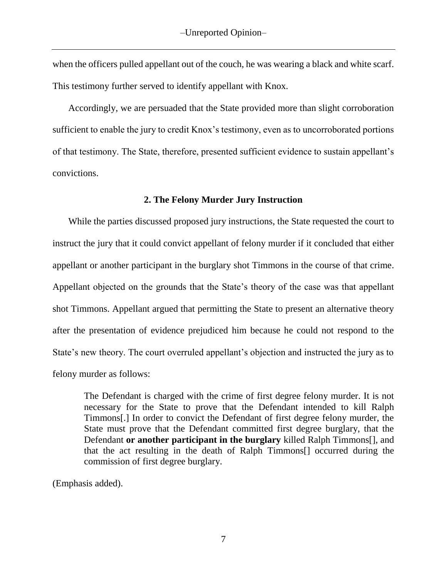when the officers pulled appellant out of the couch, he was wearing a black and white scarf. This testimony further served to identify appellant with Knox.

Accordingly, we are persuaded that the State provided more than slight corroboration sufficient to enable the jury to credit Knox's testimony, even as to uncorroborated portions of that testimony. The State, therefore, presented sufficient evidence to sustain appellant's convictions.

# **2. The Felony Murder Jury Instruction**

While the parties discussed proposed jury instructions, the State requested the court to instruct the jury that it could convict appellant of felony murder if it concluded that either appellant or another participant in the burglary shot Timmons in the course of that crime. Appellant objected on the grounds that the State's theory of the case was that appellant shot Timmons. Appellant argued that permitting the State to present an alternative theory after the presentation of evidence prejudiced him because he could not respond to the State's new theory. The court overruled appellant's objection and instructed the jury as to felony murder as follows:

The Defendant is charged with the crime of first degree felony murder. It is not necessary for the State to prove that the Defendant intended to kill Ralph Timmons[.] In order to convict the Defendant of first degree felony murder, the State must prove that the Defendant committed first degree burglary, that the Defendant **or another participant in the burglary** killed Ralph Timmons[], and that the act resulting in the death of Ralph Timmons[] occurred during the commission of first degree burglary.

(Emphasis added).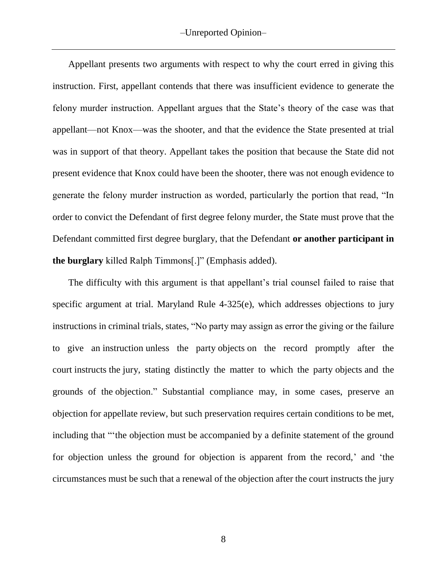Appellant presents two arguments with respect to why the court erred in giving this instruction. First, appellant contends that there was insufficient evidence to generate the felony murder instruction. Appellant argues that the State's theory of the case was that appellant—not Knox—was the shooter, and that the evidence the State presented at trial was in support of that theory. Appellant takes the position that because the State did not present evidence that Knox could have been the shooter, there was not enough evidence to generate the felony murder instruction as worded, particularly the portion that read, "In order to convict the Defendant of first degree felony murder, the State must prove that the Defendant committed first degree burglary, that the Defendant **or another participant in the burglary** killed Ralph Timmons[.]" (Emphasis added).

The difficulty with this argument is that appellant's trial counsel failed to raise that specific argument at trial. Maryland Rule 4-325(e), which addresses objections to jury instructions in criminal trials, states, "No party may assign as error the giving or the failure to give an instruction unless the party objects on the record promptly after the court instructs the jury, stating distinctly the matter to which the party objects and the grounds of the objection." Substantial compliance may, in some cases, preserve an objection for appellate review, but such preservation requires certain conditions to be met, including that "'the objection must be accompanied by a definite statement of the ground for objection unless the ground for objection is apparent from the record,' and 'the circumstances must be such that a renewal of the objection after the court instructs the jury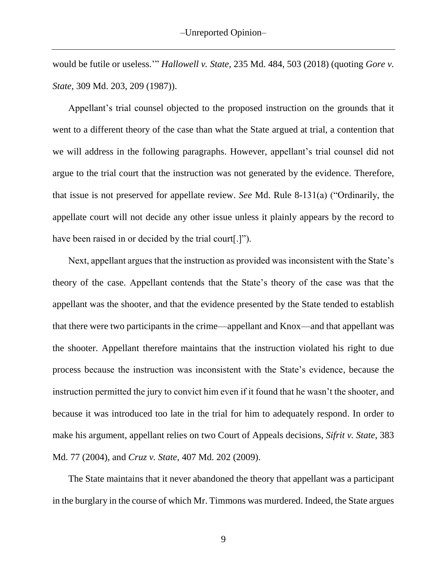would be futile or useless.'" *Hallowell v. State,* 235 Md. 484, 503 (2018) (quoting *Gore v. State,* 309 Md. 203, 209 (1987)).

Appellant's trial counsel objected to the proposed instruction on the grounds that it went to a different theory of the case than what the State argued at trial, a contention that we will address in the following paragraphs. However, appellant's trial counsel did not argue to the trial court that the instruction was not generated by the evidence. Therefore, that issue is not preserved for appellate review. *See* Md. Rule 8-131(a) ("Ordinarily, the appellate court will not decide any other issue unless it plainly appears by the record to have been raised in or decided by the trial court[.]").

Next, appellant argues that the instruction as provided was inconsistent with the State's theory of the case. Appellant contends that the State's theory of the case was that the appellant was the shooter, and that the evidence presented by the State tended to establish that there were two participants in the crime—appellant and Knox—and that appellant was the shooter. Appellant therefore maintains that the instruction violated his right to due process because the instruction was inconsistent with the State's evidence, because the instruction permitted the jury to convict him even if it found that he wasn't the shooter, and because it was introduced too late in the trial for him to adequately respond. In order to make his argument, appellant relies on two Court of Appeals decisions, *Sifrit v. State*, 383 Md. 77 (2004), and *Cruz v. State*, 407 Md. 202 (2009).

The State maintains that it never abandoned the theory that appellant was a participant in the burglary in the course of which Mr. Timmons was murdered. Indeed, the State argues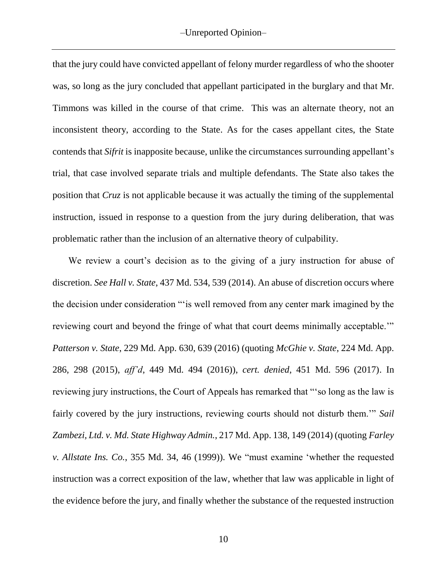that the jury could have convicted appellant of felony murder regardless of who the shooter was, so long as the jury concluded that appellant participated in the burglary and that Mr. Timmons was killed in the course of that crime. This was an alternate theory, not an inconsistent theory, according to the State. As for the cases appellant cites, the State contends that *Sifrit* is inapposite because, unlike the circumstances surrounding appellant's trial, that case involved separate trials and multiple defendants. The State also takes the position that *Cruz* is not applicable because it was actually the timing of the supplemental instruction, issued in response to a question from the jury during deliberation, that was problematic rather than the inclusion of an alternative theory of culpability.

We review a court's decision as to the giving of a jury instruction for abuse of discretion. *See Hall v. State*, 437 Md. 534, 539 (2014). An abuse of discretion occurs where the decision under consideration "'is well removed from any center mark imagined by the reviewing court and beyond the fringe of what that court deems minimally acceptable.'" *Patterson v. State*, 229 Md. App. 630, 639 (2016) (quoting *McGhie v. State*, 224 Md. App. 286, 298 (2015), *aff'd*, 449 Md. 494 (2016)), *cert. denied*, 451 Md. 596 (2017). In reviewing jury instructions, the Court of Appeals has remarked that "'so long as the law is fairly covered by the jury instructions, reviewing courts should not disturb them.'" *Sail Zambezi, Ltd. v. Md. State Highway Admin.*, 217 Md. App. 138, 149 (2014) (quoting *Farley v. Allstate Ins. Co.*, 355 Md. 34, 46 (1999)). We "must examine 'whether the requested instruction was a correct exposition of the law, whether that law was applicable in light of the evidence before the jury, and finally whether the substance of the requested instruction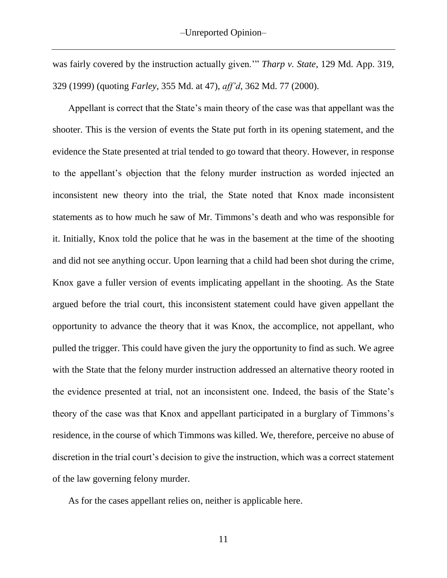was fairly covered by the instruction actually given.'" *Tharp v. State*, 129 Md. App. 319, 329 (1999) (quoting *Farley*, 355 Md. at 47), *aff'd*, 362 Md. 77 (2000).

Appellant is correct that the State's main theory of the case was that appellant was the shooter. This is the version of events the State put forth in its opening statement, and the evidence the State presented at trial tended to go toward that theory. However, in response to the appellant's objection that the felony murder instruction as worded injected an inconsistent new theory into the trial, the State noted that Knox made inconsistent statements as to how much he saw of Mr. Timmons's death and who was responsible for it. Initially, Knox told the police that he was in the basement at the time of the shooting and did not see anything occur. Upon learning that a child had been shot during the crime, Knox gave a fuller version of events implicating appellant in the shooting. As the State argued before the trial court, this inconsistent statement could have given appellant the opportunity to advance the theory that it was Knox, the accomplice, not appellant, who pulled the trigger. This could have given the jury the opportunity to find as such. We agree with the State that the felony murder instruction addressed an alternative theory rooted in the evidence presented at trial, not an inconsistent one. Indeed, the basis of the State's theory of the case was that Knox and appellant participated in a burglary of Timmons's residence, in the course of which Timmons was killed. We, therefore, perceive no abuse of discretion in the trial court's decision to give the instruction, which was a correct statement of the law governing felony murder.

As for the cases appellant relies on, neither is applicable here.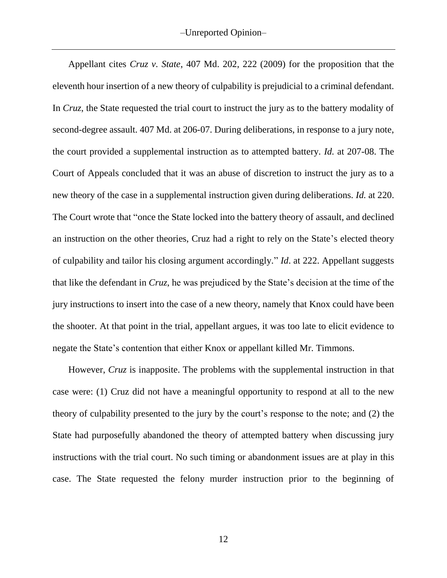Appellant cites *Cruz v. State*, 407 Md. 202, 222 (2009) for the proposition that the eleventh hour insertion of a new theory of culpability is prejudicial to a criminal defendant. In *Cruz*, the State requested the trial court to instruct the jury as to the battery modality of second-degree assault. 407 Md. at 206-07. During deliberations, in response to a jury note, the court provided a supplemental instruction as to attempted battery. *Id.* at 207-08. The Court of Appeals concluded that it was an abuse of discretion to instruct the jury as to a new theory of the case in a supplemental instruction given during deliberations. *Id.* at 220. The Court wrote that "once the State locked into the battery theory of assault, and declined an instruction on the other theories, Cruz had a right to rely on the State's elected theory of culpability and tailor his closing argument accordingly." *Id*. at 222. Appellant suggests that like the defendant in *Cruz*, he was prejudiced by the State's decision at the time of the jury instructions to insert into the case of a new theory, namely that Knox could have been the shooter. At that point in the trial, appellant argues, it was too late to elicit evidence to negate the State's contention that either Knox or appellant killed Mr. Timmons.

However, *Cruz* is inapposite. The problems with the supplemental instruction in that case were: (1) Cruz did not have a meaningful opportunity to respond at all to the new theory of culpability presented to the jury by the court's response to the note; and (2) the State had purposefully abandoned the theory of attempted battery when discussing jury instructions with the trial court. No such timing or abandonment issues are at play in this case. The State requested the felony murder instruction prior to the beginning of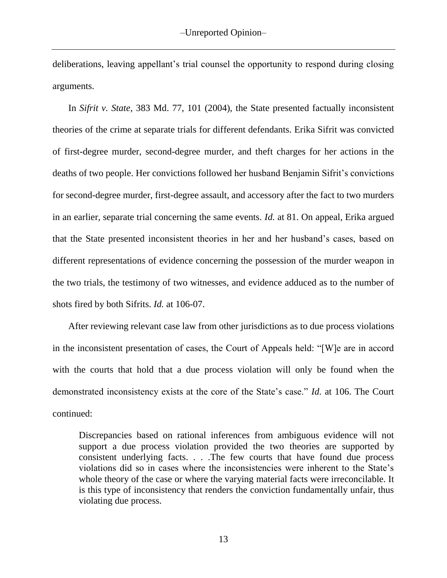deliberations, leaving appellant's trial counsel the opportunity to respond during closing arguments.

In *Sifrit v. State*, 383 Md. 77, 101 (2004), the State presented factually inconsistent theories of the crime at separate trials for different defendants. Erika Sifrit was convicted of first-degree murder, second-degree murder, and theft charges for her actions in the deaths of two people. Her convictions followed her husband Benjamin Sifrit's convictions for second-degree murder, first-degree assault, and accessory after the fact to two murders in an earlier, separate trial concerning the same events. *Id.* at 81. On appeal, Erika argued that the State presented inconsistent theories in her and her husband's cases, based on different representations of evidence concerning the possession of the murder weapon in the two trials, the testimony of two witnesses, and evidence adduced as to the number of shots fired by both Sifrits. *Id.* at 106-07.

After reviewing relevant case law from other jurisdictions as to due process violations in the inconsistent presentation of cases, the Court of Appeals held: "[W]e are in accord with the courts that hold that a due process violation will only be found when the demonstrated inconsistency exists at the core of the State's case." *Id.* at 106. The Court continued:

Discrepancies based on rational inferences from ambiguous evidence will not support a due process violation provided the two theories are supported by consistent underlying facts. . . .The few courts that have found due process violations did so in cases where the inconsistencies were inherent to the State's whole theory of the case or where the varying material facts were irreconcilable. It is this type of inconsistency that renders the conviction fundamentally unfair, thus violating due process.

13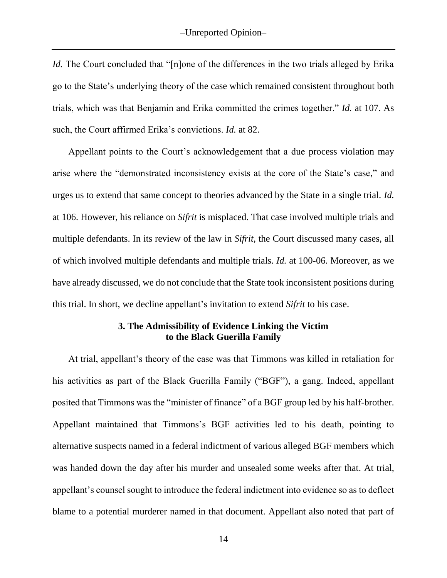*Id.* The Court concluded that "[n]one of the differences in the two trials alleged by Erika go to the State's underlying theory of the case which remained consistent throughout both trials, which was that Benjamin and Erika committed the crimes together." *Id.* at 107. As such, the Court affirmed Erika's convictions. *Id.* at 82.

Appellant points to the Court's acknowledgement that a due process violation may arise where the "demonstrated inconsistency exists at the core of the State's case," and urges us to extend that same concept to theories advanced by the State in a single trial. *Id.*  at 106. However, his reliance on *Sifrit* is misplaced. That case involved multiple trials and multiple defendants. In its review of the law in *Sifrit*, the Court discussed many cases, all of which involved multiple defendants and multiple trials. *Id.* at 100-06. Moreover, as we have already discussed, we do not conclude that the State took inconsistent positions during this trial. In short, we decline appellant's invitation to extend *Sifrit* to his case.

# **3. The Admissibility of Evidence Linking the Victim to the Black Guerilla Family**

At trial, appellant's theory of the case was that Timmons was killed in retaliation for his activities as part of the Black Guerilla Family ("BGF"), a gang. Indeed, appellant posited that Timmons was the "minister of finance" of a BGF group led by his half-brother. Appellant maintained that Timmons's BGF activities led to his death, pointing to alternative suspects named in a federal indictment of various alleged BGF members which was handed down the day after his murder and unsealed some weeks after that. At trial, appellant's counsel sought to introduce the federal indictment into evidence so as to deflect blame to a potential murderer named in that document. Appellant also noted that part of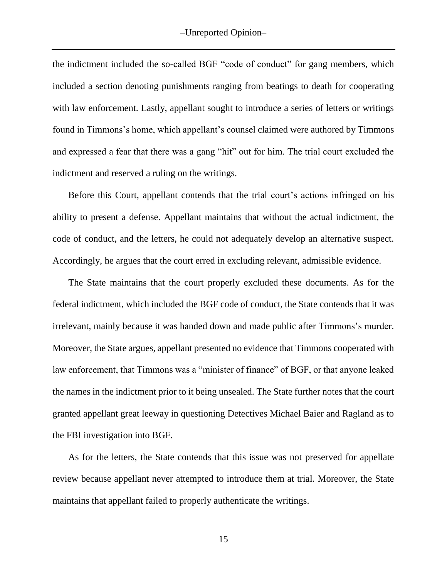the indictment included the so-called BGF "code of conduct" for gang members, which included a section denoting punishments ranging from beatings to death for cooperating with law enforcement. Lastly, appellant sought to introduce a series of letters or writings found in Timmons's home, which appellant's counsel claimed were authored by Timmons and expressed a fear that there was a gang "hit" out for him. The trial court excluded the indictment and reserved a ruling on the writings.

Before this Court, appellant contends that the trial court's actions infringed on his ability to present a defense. Appellant maintains that without the actual indictment, the code of conduct, and the letters, he could not adequately develop an alternative suspect. Accordingly, he argues that the court erred in excluding relevant, admissible evidence.

The State maintains that the court properly excluded these documents. As for the federal indictment, which included the BGF code of conduct, the State contends that it was irrelevant, mainly because it was handed down and made public after Timmons's murder. Moreover, the State argues, appellant presented no evidence that Timmons cooperated with law enforcement, that Timmons was a "minister of finance" of BGF, or that anyone leaked the names in the indictment prior to it being unsealed. The State further notes that the court granted appellant great leeway in questioning Detectives Michael Baier and Ragland as to the FBI investigation into BGF.

As for the letters, the State contends that this issue was not preserved for appellate review because appellant never attempted to introduce them at trial. Moreover, the State maintains that appellant failed to properly authenticate the writings.

15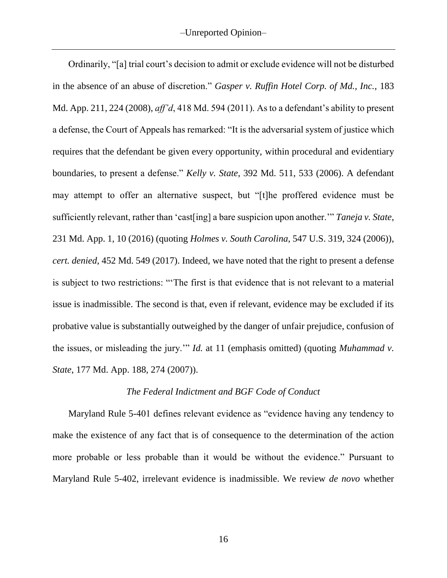Ordinarily, "[a] trial court's decision to admit or exclude evidence will not be disturbed in the absence of an abuse of discretion." *Gasper v. Ruffin Hotel Corp. of Md., Inc.*, 183 Md. App. 211, 224 (2008), *aff'd*, 418 Md. 594 (2011). As to a defendant's ability to present a defense, the Court of Appeals has remarked: "It is the adversarial system of justice which requires that the defendant be given every opportunity, within procedural and evidentiary boundaries, to present a defense." *Kelly v. State*, 392 Md. 511, 533 (2006). A defendant may attempt to offer an alternative suspect, but "[t]he proffered evidence must be sufficiently relevant, rather than 'cast[ing] a bare suspicion upon another.'" *Taneja v. State*, 231 Md. App. 1, 10 (2016) (quoting *Holmes v. South Carolina*, 547 U.S. 319, 324 (2006)), *cert. denied*, 452 Md. 549 (2017). Indeed, we have noted that the right to present a defense is subject to two restrictions: "'The first is that evidence that is not relevant to a material issue is inadmissible. The second is that, even if relevant, evidence may be excluded if its probative value is substantially outweighed by the danger of unfair prejudice, confusion of the issues, or misleading the jury.'" *Id.* at 11 (emphasis omitted) (quoting *Muhammad v. State*, 177 Md. App. 188, 274 (2007)).

### *The Federal Indictment and BGF Code of Conduct*

Maryland Rule 5-401 defines relevant evidence as "evidence having any tendency to make the existence of any fact that is of consequence to the determination of the action more probable or less probable than it would be without the evidence." Pursuant to Maryland Rule 5-402, irrelevant evidence is inadmissible. We review *de novo* whether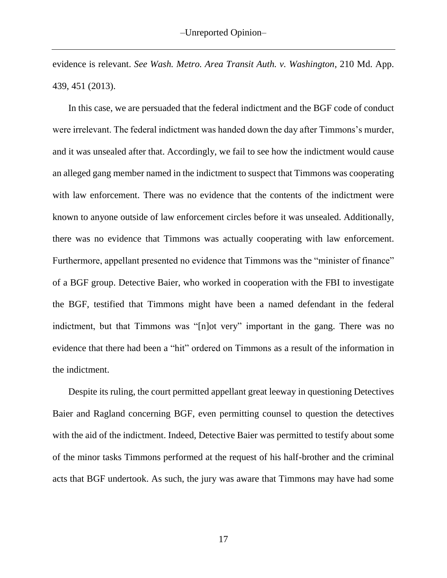evidence is relevant. *See Wash. Metro. Area Transit Auth. v. Washington*, 210 Md. App. 439, 451 (2013).

In this case, we are persuaded that the federal indictment and the BGF code of conduct were irrelevant. The federal indictment was handed down the day after Timmons's murder, and it was unsealed after that. Accordingly, we fail to see how the indictment would cause an alleged gang member named in the indictment to suspect that Timmons was cooperating with law enforcement. There was no evidence that the contents of the indictment were known to anyone outside of law enforcement circles before it was unsealed. Additionally, there was no evidence that Timmons was actually cooperating with law enforcement. Furthermore, appellant presented no evidence that Timmons was the "minister of finance" of a BGF group. Detective Baier, who worked in cooperation with the FBI to investigate the BGF, testified that Timmons might have been a named defendant in the federal indictment, but that Timmons was "[n]ot very" important in the gang. There was no evidence that there had been a "hit" ordered on Timmons as a result of the information in the indictment.

Despite its ruling, the court permitted appellant great leeway in questioning Detectives Baier and Ragland concerning BGF, even permitting counsel to question the detectives with the aid of the indictment. Indeed, Detective Baier was permitted to testify about some of the minor tasks Timmons performed at the request of his half-brother and the criminal acts that BGF undertook. As such, the jury was aware that Timmons may have had some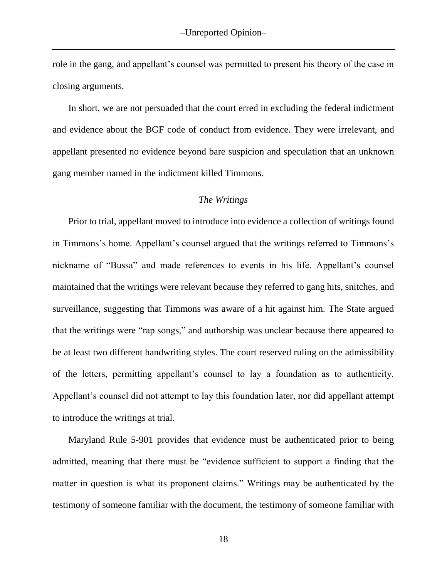role in the gang, and appellant's counsel was permitted to present his theory of the case in closing arguments.

In short, we are not persuaded that the court erred in excluding the federal indictment and evidence about the BGF code of conduct from evidence. They were irrelevant, and appellant presented no evidence beyond bare suspicion and speculation that an unknown gang member named in the indictment killed Timmons.

#### *The Writings*

Prior to trial, appellant moved to introduce into evidence a collection of writings found in Timmons's home. Appellant's counsel argued that the writings referred to Timmons's nickname of "Bussa" and made references to events in his life. Appellant's counsel maintained that the writings were relevant because they referred to gang hits, snitches, and surveillance, suggesting that Timmons was aware of a hit against him. The State argued that the writings were "rap songs," and authorship was unclear because there appeared to be at least two different handwriting styles. The court reserved ruling on the admissibility of the letters, permitting appellant's counsel to lay a foundation as to authenticity. Appellant's counsel did not attempt to lay this foundation later, nor did appellant attempt to introduce the writings at trial.

Maryland Rule 5-901 provides that evidence must be authenticated prior to being admitted, meaning that there must be "evidence sufficient to support a finding that the matter in question is what its proponent claims." Writings may be authenticated by the testimony of someone familiar with the document, the testimony of someone familiar with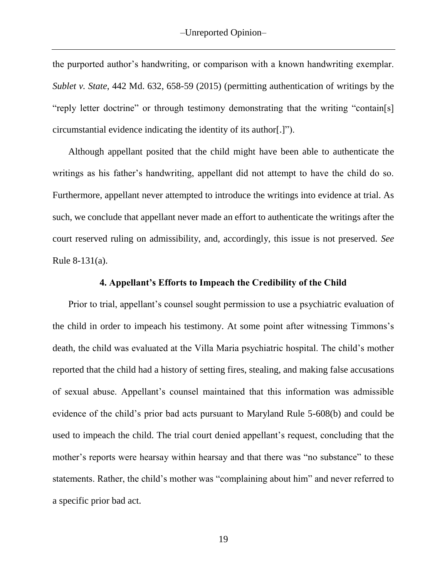the purported author's handwriting, or comparison with a known handwriting exemplar. *Sublet v. State*, 442 Md. 632, 658-59 (2015) (permitting authentication of writings by the "reply letter doctrine" or through testimony demonstrating that the writing "contain[s] circumstantial evidence indicating the identity of its author[.]").

Although appellant posited that the child might have been able to authenticate the writings as his father's handwriting, appellant did not attempt to have the child do so. Furthermore, appellant never attempted to introduce the writings into evidence at trial. As such, we conclude that appellant never made an effort to authenticate the writings after the court reserved ruling on admissibility, and, accordingly, this issue is not preserved. *See* Rule 8-131(a).

### **4. Appellant's Efforts to Impeach the Credibility of the Child**

Prior to trial, appellant's counsel sought permission to use a psychiatric evaluation of the child in order to impeach his testimony. At some point after witnessing Timmons's death, the child was evaluated at the Villa Maria psychiatric hospital. The child's mother reported that the child had a history of setting fires, stealing, and making false accusations of sexual abuse. Appellant's counsel maintained that this information was admissible evidence of the child's prior bad acts pursuant to Maryland Rule 5-608(b) and could be used to impeach the child. The trial court denied appellant's request, concluding that the mother's reports were hearsay within hearsay and that there was "no substance" to these statements. Rather, the child's mother was "complaining about him" and never referred to a specific prior bad act.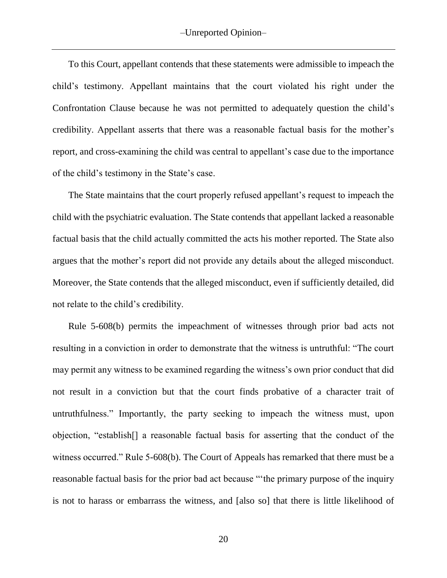To this Court, appellant contends that these statements were admissible to impeach the child's testimony. Appellant maintains that the court violated his right under the Confrontation Clause because he was not permitted to adequately question the child's credibility. Appellant asserts that there was a reasonable factual basis for the mother's report, and cross-examining the child was central to appellant's case due to the importance of the child's testimony in the State's case.

The State maintains that the court properly refused appellant's request to impeach the child with the psychiatric evaluation. The State contends that appellant lacked a reasonable factual basis that the child actually committed the acts his mother reported. The State also argues that the mother's report did not provide any details about the alleged misconduct. Moreover, the State contends that the alleged misconduct, even if sufficiently detailed, did not relate to the child's credibility.

Rule 5-608(b) permits the impeachment of witnesses through prior bad acts not resulting in a conviction in order to demonstrate that the witness is untruthful: "The court may permit any witness to be examined regarding the witness's own prior conduct that did not result in a conviction but that the court finds probative of a character trait of untruthfulness." Importantly, the party seeking to impeach the witness must, upon objection, "establish[] a reasonable factual basis for asserting that the conduct of the witness occurred." Rule 5-608(b). The Court of Appeals has remarked that there must be a reasonable factual basis for the prior bad act because "'the primary purpose of the inquiry is not to harass or embarrass the witness, and [also so] that there is little likelihood of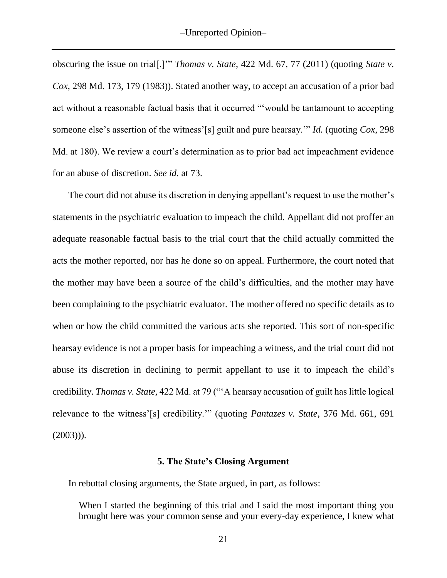obscuring the issue on trial[.]'" *Thomas v. State*, 422 Md. 67, 77 (2011) (quoting *State v. Cox*, 298 Md. 173, 179 (1983)). Stated another way, to accept an accusation of a prior bad act without a reasonable factual basis that it occurred "'would be tantamount to accepting someone else's assertion of the witness'[s] guilt and pure hearsay.'" *Id.* (quoting *Cox*, 298 Md. at 180). We review a court's determination as to prior bad act impeachment evidence for an abuse of discretion. *See id.* at 73.

The court did not abuse its discretion in denying appellant's request to use the mother's statements in the psychiatric evaluation to impeach the child. Appellant did not proffer an adequate reasonable factual basis to the trial court that the child actually committed the acts the mother reported, nor has he done so on appeal. Furthermore, the court noted that the mother may have been a source of the child's difficulties, and the mother may have been complaining to the psychiatric evaluator. The mother offered no specific details as to when or how the child committed the various acts she reported. This sort of non-specific hearsay evidence is not a proper basis for impeaching a witness, and the trial court did not abuse its discretion in declining to permit appellant to use it to impeach the child's credibility. *Thomas v. State,* 422 Md. at 79 ("'A hearsay accusation of guilt has little logical relevance to the witness'[s] credibility.'" (quoting *Pantazes v. State*, 376 Md. 661, 691  $(2003))$ .

#### **5. The State's Closing Argument**

In rebuttal closing arguments, the State argued, in part, as follows:

When I started the beginning of this trial and I said the most important thing you brought here was your common sense and your every-day experience, I knew what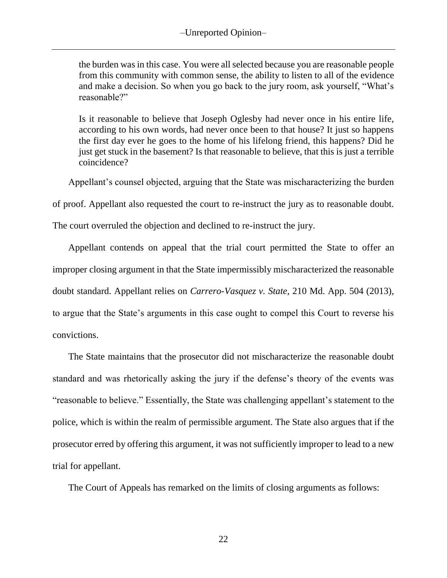the burden was in this case. You were all selected because you are reasonable people from this community with common sense, the ability to listen to all of the evidence and make a decision. So when you go back to the jury room, ask yourself, "What's reasonable?"

Is it reasonable to believe that Joseph Oglesby had never once in his entire life, according to his own words, had never once been to that house? It just so happens the first day ever he goes to the home of his lifelong friend, this happens? Did he just get stuck in the basement? Is that reasonable to believe, that this is just a terrible coincidence?

Appellant's counsel objected, arguing that the State was mischaracterizing the burden

of proof. Appellant also requested the court to re-instruct the jury as to reasonable doubt.

The court overruled the objection and declined to re-instruct the jury.

Appellant contends on appeal that the trial court permitted the State to offer an improper closing argument in that the State impermissibly mischaracterized the reasonable doubt standard. Appellant relies on *Carrero-Vasquez v. State*, 210 Md. App. 504 (2013), to argue that the State's arguments in this case ought to compel this Court to reverse his convictions.

The State maintains that the prosecutor did not mischaracterize the reasonable doubt standard and was rhetorically asking the jury if the defense's theory of the events was "reasonable to believe." Essentially, the State was challenging appellant's statement to the police, which is within the realm of permissible argument. The State also argues that if the prosecutor erred by offering this argument, it was not sufficiently improper to lead to a new trial for appellant.

The Court of Appeals has remarked on the limits of closing arguments as follows: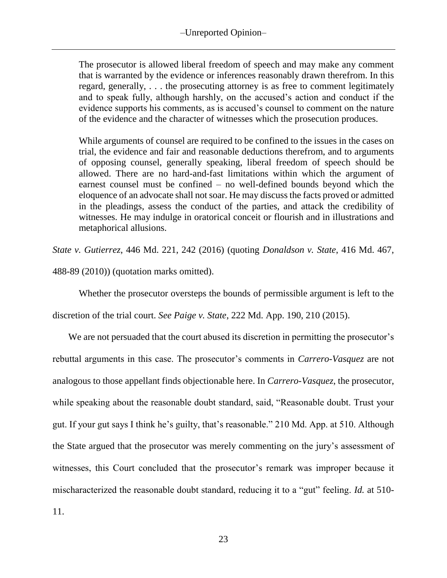The prosecutor is allowed liberal freedom of speech and may make any comment that is warranted by the evidence or inferences reasonably drawn therefrom. In this regard, generally, . . . the prosecuting attorney is as free to comment legitimately and to speak fully, although harshly, on the accused's action and conduct if the evidence supports his comments, as is accused's counsel to comment on the nature of the evidence and the character of witnesses which the prosecution produces.

While arguments of counsel are required to be confined to the issues in the cases on trial, the evidence and fair and reasonable deductions therefrom, and to arguments of opposing counsel, generally speaking, liberal freedom of speech should be allowed. There are no hard-and-fast limitations within which the argument of earnest counsel must be confined – no well-defined bounds beyond which the eloquence of an advocate shall not soar. He may discuss the facts proved or admitted in the pleadings, assess the conduct of the parties, and attack the credibility of witnesses. He may indulge in oratorical conceit or flourish and in illustrations and metaphorical allusions.

*State v. Gutierrez*, 446 Md. 221, 242 (2016) (quoting *Donaldson v. State*, 416 Md. 467, 488-89 (2010)) (quotation marks omitted).

Whether the prosecutor oversteps the bounds of permissible argument is left to the

discretion of the trial court. *See Paige v. State*, 222 Md. App. 190, 210 (2015).

We are not persuaded that the court abused its discretion in permitting the prosecutor's rebuttal arguments in this case. The prosecutor's comments in *Carrero-Vasquez* are not analogous to those appellant finds objectionable here. In *Carrero-Vasquez*, the prosecutor, while speaking about the reasonable doubt standard, said, "Reasonable doubt. Trust your gut. If your gut says I think he's guilty, that's reasonable." 210 Md. App. at 510. Although the State argued that the prosecutor was merely commenting on the jury's assessment of witnesses, this Court concluded that the prosecutor's remark was improper because it mischaracterized the reasonable doubt standard, reducing it to a "gut" feeling. *Id.* at 510- 11.